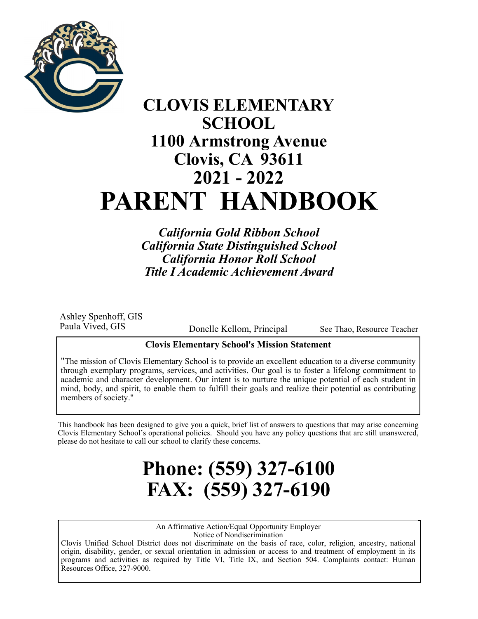

## **CLOVIS ELEMENTARY SCHOOL 1100 Armstrong Avenue Clovis, CA 93611 2021 - 2022 PARENT HANDBOOK**

*California Gold Ribbon School California State Distinguished School California Honor Roll School Title I Academic Achievement Award* 

Ashley Spenhoff, GIS Paula Vived, GIS

Donelle Kellom, Principal

See Thao, Resource Teacher

## **Clovis Elementary School's Mission Statement**

"The mission of Clovis Elementary School is to provide an excellent education to a diverse community through exemplary programs, services, and activities. Our goal is to foster a lifelong commitment to academic and character development. Our intent is to nurture the unique potential of each student in mind, body, and spirit, to enable them to fulfill their goals and realize their potential as contributing members of society."

This handbook has been designed to give you a quick, brief list of answers to questions that may arise concerning Clovis Elementary School's operational policies. Should you have any policy questions that are still unanswered, please do not hesitate to call our school to clarify these concerns.

# **Phone: (559) 327-6100 FAX: (559) 327-6190**

An Affirmative Action/Equal Opportunity Employer Notice of Nondiscrimination

Clovis Unified School District does not discriminate on the basis of race, color, religion, ancestry, national origin, disability, gender, or sexual orientation in admission or access to and treatment of employment in its programs and activities as required by Title VI, Title IX, and Section 504. Complaints contact: Human Resources Office, 327-9000.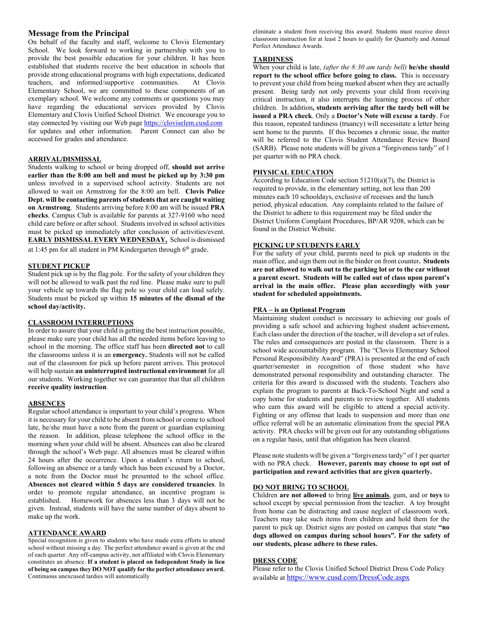## **Message from the Principal**

On behalf of the faculty and staff, welcome to Clovis Elementary School. We look forward to working in partnership with you to provide the best possible education for your children. It has been established that students receive the best education in schools that provide strong educational programs with high expectations, dedicated teachers, and informed/supportive communities. At Clovis Elementary School, we are committed to these components of an exemplary school. We welcome any comments or questions you may have regarding the educational services provided by Clovis Elementary and Clovis Unified School District. We encourage you to stay connected by visiting our Web page https://cloviselem.cusd.com for updates and other information. Parent Connect can also be accessed for grades and attendance.

#### **ARRIVAL/DISMISSAL**

Students walking to school or being dropped off, **should not arrive earlier than the 8:00 am bell and must be picked up by 3:30 pm** unless involved in a supervised school activity. Students are not allowed to wait on Armstrong for the 8:00 am bell. **Clovis Police Dept. will be contacting parents of students that are caught waiting on Armstrong**. Students arriving before 8:00 am will be issued **PRA checks**. Campus Club is available for parents at 327-9160 who need child care before or after school. Students involved in school activities must be picked up immediately after conclusion of activities/event. **EARLY DISMISSAL EVERY WEDNESDAY,** School is dismissed at 1:45 pm for all student in PM Kindergarten through 6<sup>th</sup> grade.

**STUDENT PICKUP** 

Student pick up is by the flag pole. For the safety of your children they will not be allowed to walk past the red line. Please make sure to pull your vehicle up towards the flag pole so your child can load safely. Students must be picked up within **15 minutes of the dismal of the school day/activity.**

## **CLASSROOM INTERRUPTIONS**

In order to assure that your child is getting the best instruction possible, please make sure your child has all the needed items before leaving to school in the morning. The office staff has been **directed not** to call the classrooms unless it is an **emergency.** Students will not be called out of the classroom for pick up before parent arrives. This protocol will help sustain **an uninterrupted instructional environment** for all our students. Working together we can guarantee that that all children **receive quality instruction**.

#### **ABSENCES**

Regular school attendance is important to your child's progress. When it is necessary for your child to be absent from school or come to school late, he/she must have a note from the parent or guardian explaining the reason. In addition, please telephone the school office in the morning when your child will be absent. Absences can also be cleared through the school's Web page. All absences must be cleared within 24 hours after the occurrence. Upon a student's return to school, following an absence or a tardy which has been excused by a Doctor, a note from the Doctor must be presented to the school office. **Absences not cleared within 5 days are considered truancies**. In order to promote regular attendance, an incentive program is established. Homework for absences less than 3 days will not be given. Instead, students will have the same number of days absent to make up the work.

#### **ATTENDANCE AWARD**

Special recognition is given to students who have made extra efforts to attend school without missing a day. The perfect attendance award is given at the end of each quarter. Any off-campus activity, not affiliated with Clovis Elementary constitutes an absence. **If a student is placed on Independent Study in lieu of being on campus they DO NOT qualify for the perfect attendance award.** Continuous unexcused tardies will automatically

eliminate a student from receiving this award. Students must receive direct classroom instruction for at least 2 hours to qualify for Quarterly and Annual Perfect Attendance Awards.

#### **TARDINESS**

When your child is late, *(after the 8:30 am tardy bell)* **he/she should report to the school office before going to class.** This is necessary to prevent your child from being marked absent when they are actually present. Being tardy not only prevents your child from receiving critical instruction, it also interrupts the learning process of other children. In addition**, students arriving after the tardy bell will be issued a PRA check**. Only a **Doctor's Note will excuse a tardy**. For this reason, repeated tardiness (truancy) will necessitate a letter being sent home to the parents. If this becomes a chronic issue, the matter will be referred to the Clovis Student Attendance Review Board (SARB). Please note students will be given a "forgiveness tardy" of 1 per quarter with no PRA check.

## **PHYSICAL EDUCATION**

According to Education Code section 51210(a)(7), the District is required to provide, in the elementary setting, not less than 200 minutes each 10 schooldays, exclusive of recesses and the lunch period, physical education. Any complaints related to the failure of the District to adhere to this requirement may be filed under the District Uniform Complaint Procedures, BP/AR 9208, which can be found in the District Website.

## **PICKING UP STUDENTS EARLY**

For the safety of your child, parents need to pick up students in the main office, and sign them out in the binder on front counter**. Students are not allowed to walk out to the parking lot or to the car without a parent escort. Students will be called out of class upon parent's arrival in the main office. Please plan accordingly with your student for scheduled appointments.** 

## **PRA – is an Optional Program**

Maintaining student conduct is necessary to achieving our goals of providing a safe school and achieving highest student achievement**.**  Each class under the direction of the teacher, will develop a set of rules. The rules and consequences are posted in the classroom. There is a school wide accountability program. The "Clovis Elementary School Personal Responsibility Award" (PRA) is presented at the end of each quarter/semester in recognition of those student who have demonstrated personal responsibility and outstanding character. The criteria for this award is discussed with the students. Teachers also explain the program to parents at Back-To-School Night and send a copy home for students and parents to review together. All students who earn this award will be eligible to attend a special activity. Fighting or any offense that leads to suspension and more than one office referral will be an automatic elimination from the special PRA activity. PRA checks will be given out for any outstanding obligations on a regular basis, until that obligation has been cleared.

Please note students will be given a "forgiveness tardy" of 1 per quarter with no PRA check. **However, parents may choose to opt out of participation and reward activities that are given quarterly.** 

#### **DO NOT BRING TO SCHOOL**

Children **are not allowed** to bring **live animals**, gum, and or **toys** to school except by special permission from the teacher. A toy brought from home can be distracting and cause neglect of classroom work. Teachers may take such items from children and hold them for the parent to pick up. District signs are posted on campus that state **"no dogs allowed on campus during school hours". For the safety of our students, please adhere to these rules.**

#### **DRESS CODE**

Please refer to the Clovis Unified School District Dress Code Policy available at https://www.cusd.com/DressCode.aspx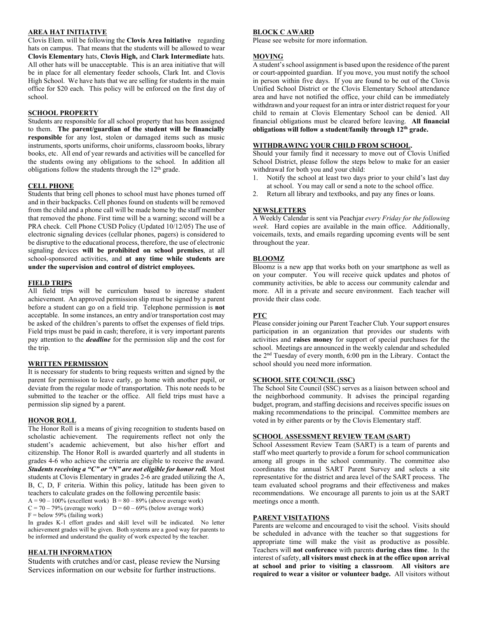#### **AREA HAT INITIATIVE**

Clovis Elem. will be following the **Clovis Area Initiative** regarding hats on campus. That means that the students will be allowed to wear **Clovis Elementary** hats, **Clovis High,** and **Clark Intermediate** hats. All other hats will be unacceptable. This is an area initiative that will be in place for all elementary feeder schools, Clark Int. and Clovis High School. We have hats that we are selling for students in the main office for \$20 each. This policy will be enforced on the first day of school.

#### **SCHOOL PROPERTY**

Students are responsible for all school property that has been assigned to them. **The parent/guardian of the student will be financially responsible** for any lost, stolen or damaged items such as music instruments, sports uniforms, choir uniforms, classroom books, library books, etc. All end of year rewards and activities will be cancelled for the students owing any obligations to the school. In addition all obligations follow the students through the  $12<sup>th</sup>$  grade.

#### **CELL PHONE**

Students that bring cell phones to school must have phones turned off and in their backpacks. Cell phones found on students will be removed from the child and a phone call will be made home by the staff member that removed the phone. First time will be a warning; second will be a PRA check. Cell Phone CUSD Policy (Updated 10/12/05) The use of electronic signaling devices (cellular phones, pagers) is considered to be disruptive to the educational process, therefore, the use of electronic signaling devices **will be prohibited on school premises**, at all school-sponsored activities, and **at any time while students are under the supervision and control of district employees.** 

#### **FIELD TRIPS**

All field trips will be curriculum based to increase student achievement. An approved permission slip must be signed by a parent before a student can go on a field trip. Telephone permission is **not** acceptable. In some instances, an entry and/or transportation cost may be asked of the children's parents to offset the expenses of field trips. Field trips must be paid in cash; therefore, it is very important parents pay attention to the *deadline* for the permission slip and the cost for the trip.

#### **WRITTEN PERMISSION**

It is necessary for students to bring requests written and signed by the parent for permission to leave early, go home with another pupil, or deviate from the regular mode of transportation. This note needs to be submitted to the teacher or the office. All field trips must have a permission slip signed by a parent.

#### **HONOR ROLL**

The Honor Roll is a means of giving recognition to students based on scholastic achievement. The requirements reflect not only the student's academic achievement, but also his/her effort and citizenship. The Honor Roll is awarded quarterly and all students in grades 4-6 who achieve the criteria are eligible to receive the award. *Students receiving a "C" or "N" are not eligible for honor roll.* Most students at Clovis Elementary in grades 2-6 are graded utilizing the A, B, C, D, F criteria. Within this policy, latitude has been given to teachers to calculate grades on the following percentile basis:  $A = 90 - 100\%$  (excellent work)  $B = 80 - 89\%$  (above average work)<br>C = 70 – 79% (average work)  $D = 60 - 69\%$  (below average work)  $D = 60 - 69%$  (below average work)  $F =$  below 59% (failing work)

In grades K-1 effort grades and skill level will be indicated. No letter achievement grades will be given. Both systems are a good way for parents to be informed and understand the quality of work expected by the teacher.

## **HEALTH INFORMATION**

Students with crutches and/or cast, please review the Nursing Services information on our website for further instructions.

#### **BLOCK C AWARD**

Please see website for more information.

## **MOVING**

A student's school assignment is based upon the residence of the parent or court-appointed guardian. If you move, you must notify the school in person within five days. If you are found to be out of the Clovis Unified School District or the Clovis Elementary School attendance area and have not notified the office, your child can be immediately withdrawn and your request for an intra or inter district request for your child to remain at Clovis Elementary School can be denied. All financial obligations must be cleared before leaving. **All financial obligations will follow a student/family through 12th grade.**

## **WITHDRAWING YOUR CHILD FROM SCHOOL.**

Should your family find it necessary to move out of Clovis Unified School District, please follow the steps below to make for an easier withdrawal for both you and your child:

- 1. Notify the school at least two days prior to your child's last day at school. You may call or send a note to the school office.
- 2. Return all library and textbooks, and pay any fines or loans.

## **NEWSLETTERS**

A Weekly Calendar is sent via Peachjar *every Friday for the following week*. Hard copies are available in the main office. Additionally, voicemails, texts, and emails regarding upcoming events will be sent throughout the year.

#### **BLOOMZ**

Bloomz is a new app that works both on your smartphone as well as on your computer. You will receive quick updates and photos of community activities, be able to access our community calendar and more. All in a private and secure environment. Each teacher will provide their class code.

#### **PTC**

Please consider joining our Parent Teacher Club. Your support ensures participation in an organization that provides our students with activities and **raises money** for support of special purchases for the school. Meetings are announced in the weekly calendar and scheduled the 2nd Tuesday of every month, 6:00 pm in the Library. Contact the school should you need more information.

## **SCHOOL SITE COUNCIL (SSC)**

The School Site Council (SSC) serves as a liaison between school and the neighborhood community. It advises the principal regarding budget, program, and staffing decisions and receives specific issues on making recommendations to the principal. Committee members are voted in by either parents or by the Clovis Elementary staff.

## **SCHOOL ASSESSMENT REVIEW TEAM (SART)**

School Assessment Review Team (SART) is a team of parents and staff who meet quarterly to provide a forum for school communication among all groups in the school community. The committee also coordinates the annual SART Parent Survey and selects a site representative for the district and area level of the SART process. The team evaluated school programs and their effectiveness and makes recommendations. We encourage all parents to join us at the SART meetings once a month.

#### **PARENT VISITATIONS**

Parents are welcome and encouraged to visit the school. Visits should be scheduled in advance with the teacher so that suggestions for appropriate time will make the visit as productive as possible. Teachers will **not conference** with parents **during class time**. In the interest of safety, **all visitors must check in at the office upon arrival at school and prior to visiting a classroom**. **All visitors are required to wear a visitor or volunteer badge.** All visitors without